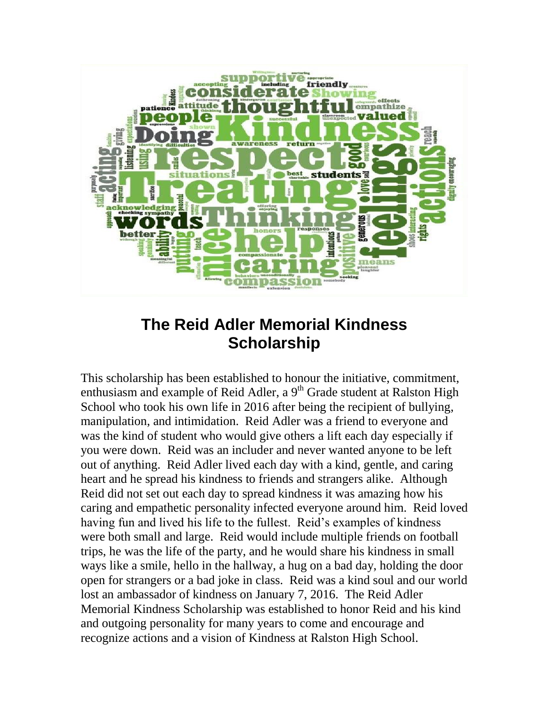

# **The Reid Adler Memorial Kindness Scholarship**

This scholarship has been established to honour the initiative, commitment, enthusiasm and example of Reid Adler, a  $9<sup>th</sup>$  Grade student at Ralston High School who took his own life in 2016 after being the recipient of bullying, manipulation, and intimidation. Reid Adler was a friend to everyone and was the kind of student who would give others a lift each day especially if you were down. Reid was an includer and never wanted anyone to be left out of anything. Reid Adler lived each day with a kind, gentle, and caring heart and he spread his kindness to friends and strangers alike. Although Reid did not set out each day to spread kindness it was amazing how his caring and empathetic personality infected everyone around him. Reid loved having fun and lived his life to the fullest. Reid's examples of kindness were both small and large. Reid would include multiple friends on football trips, he was the life of the party, and he would share his kindness in small ways like a smile, hello in the hallway, a hug on a bad day, holding the door open for strangers or a bad joke in class. Reid was a kind soul and our world lost an ambassador of kindness on January 7, 2016. The Reid Adler Memorial Kindness Scholarship was established to honor Reid and his kind and outgoing personality for many years to come and encourage and recognize actions and a vision of Kindness at Ralston High School.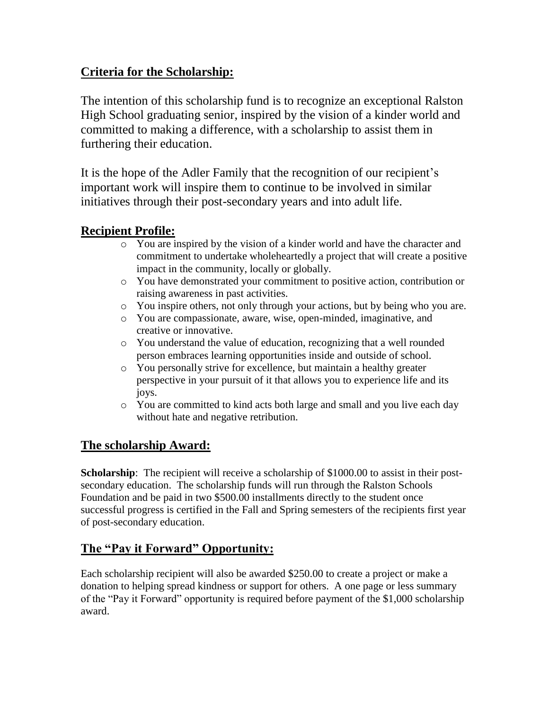# **Criteria for the Scholarship:**

The intention of this scholarship fund is to recognize an exceptional Ralston High School graduating senior, inspired by the vision of a kinder world and committed to making a difference, with a scholarship to assist them in furthering their education.

It is the hope of the Adler Family that the recognition of our recipient's important work will inspire them to continue to be involved in similar initiatives through their post-secondary years and into adult life.

# **Recipient Profile:**

- o You are inspired by the vision of a kinder world and have the character and commitment to undertake wholeheartedly a project that will create a positive impact in the community, locally or globally.
- o You have demonstrated your commitment to positive action, contribution or raising awareness in past activities.
- o You inspire others, not only through your actions, but by being who you are.
- o You are compassionate, aware, wise, open-minded, imaginative, and creative or innovative.
- o You understand the value of education, recognizing that a well rounded person embraces learning opportunities inside and outside of school.
- o You personally strive for excellence, but maintain a healthy greater perspective in your pursuit of it that allows you to experience life and its joys.
- o You are committed to kind acts both large and small and you live each day without hate and negative retribution.

# **The scholarship Award:**

**Scholarship**: The recipient will receive a scholarship of \$1000.00 to assist in their postsecondary education. The scholarship funds will run through the Ralston Schools Foundation and be paid in two \$500.00 installments directly to the student once successful progress is certified in the Fall and Spring semesters of the recipients first year of post-secondary education.

# **The "Pay it Forward" Opportunity:**

Each scholarship recipient will also be awarded \$250.00 to create a project or make a donation to helping spread kindness or support for others. A one page or less summary of the "Pay it Forward" opportunity is required before payment of the \$1,000 scholarship award.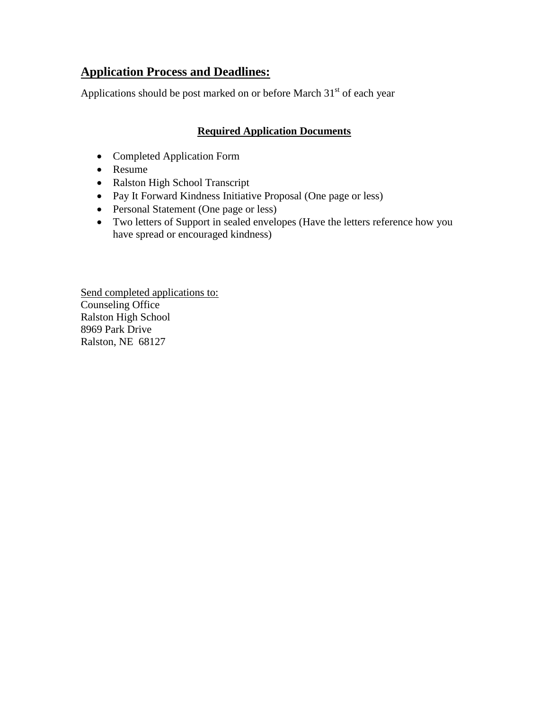# **Application Process and Deadlines:**

Applications should be post marked on or before March  $31<sup>st</sup>$  of each year

### **Required Application Documents**

- Completed Application Form
- Resume
- Ralston High School Transcript
- Pay It Forward Kindness Initiative Proposal (One page or less)
- Personal Statement (One page or less)
- Two letters of Support in sealed envelopes (Have the letters reference how you have spread or encouraged kindness)

Send completed applications to: Counseling Office Ralston High School 8969 Park Drive Ralston, NE 68127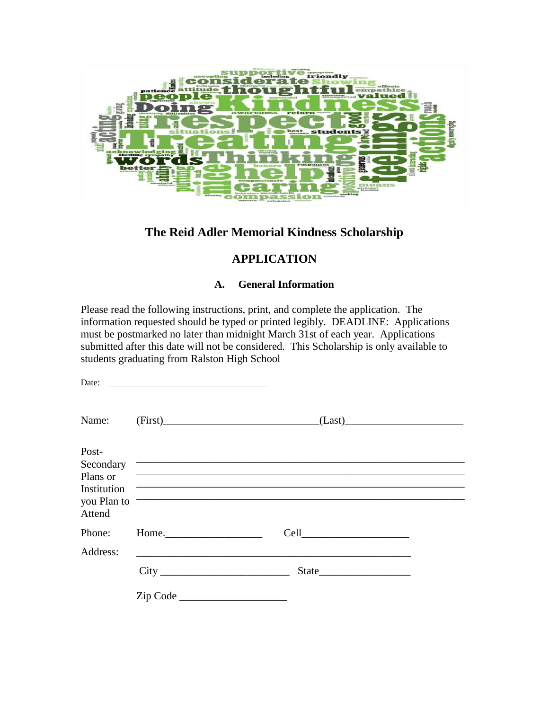

## **The Reid Adler Memorial Kindness Scholarship**

## **APPLICATION**

#### **A. General Information**

Please read the following instructions, print, and complete the application. The information requested should be typed or printed legibly. DEADLINE: Applications must be postmarked no later than midnight March 31st of each year. Applications submitted after this date will not be considered. This Scholarship is only available to students graduating from Ralston High School

| Date:                 | <u> 1989 - Johann Stoff, deutscher Stoffen und der Stoffen und der Stoffen und der Stoffen und der Stoffen und der </u> |                                                                                                                                                                                                                                      |  |
|-----------------------|-------------------------------------------------------------------------------------------------------------------------|--------------------------------------------------------------------------------------------------------------------------------------------------------------------------------------------------------------------------------------|--|
| Name:                 |                                                                                                                         | $(First)$ $(Last)$                                                                                                                                                                                                                   |  |
| Post-                 |                                                                                                                         |                                                                                                                                                                                                                                      |  |
|                       |                                                                                                                         | Secondary <b>Contact Contact Contact Contact Contact Contact Contact Contact Contact Contact Contact Contact Contact Contact Contact Contact Contact Contact Contact Contact Contact Contact Contact Contact Contact Contact Con</b> |  |
| Plans or              |                                                                                                                         | <u> Alexandria de la contrada de la contrada de la contrada de la contrada de la contrada de la contrada de la c</u>                                                                                                                 |  |
| Institution           |                                                                                                                         |                                                                                                                                                                                                                                      |  |
| you Plan to<br>Attend |                                                                                                                         |                                                                                                                                                                                                                                      |  |
| Phone:                | Home.                                                                                                                   |                                                                                                                                                                                                                                      |  |
| Address:              |                                                                                                                         |                                                                                                                                                                                                                                      |  |
|                       |                                                                                                                         |                                                                                                                                                                                                                                      |  |
|                       | Zip Code                                                                                                                |                                                                                                                                                                                                                                      |  |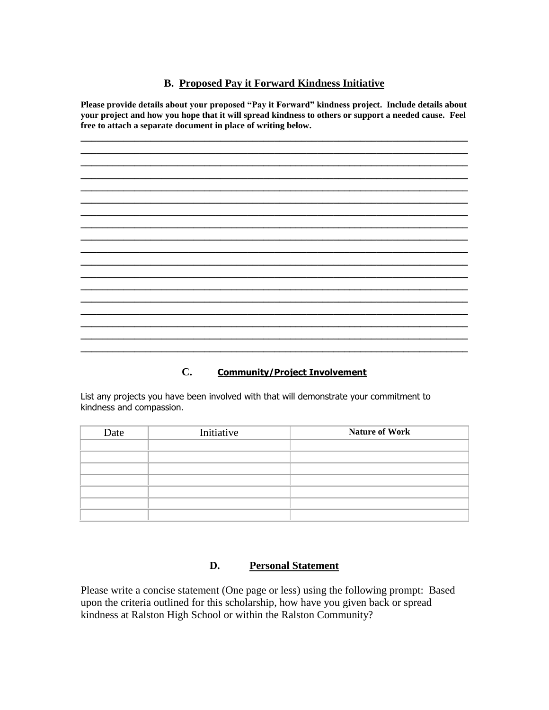#### **B. Proposed Pay it Forward Kindness Initiative**

**Please provide details about your proposed "Pay it Forward" kindness project. Include details about your project and how you hope that it will spread kindness to others or support a needed cause. Feel free to attach a separate document in place of writing below.**

**\_\_\_\_\_\_\_\_\_\_\_\_\_\_\_\_\_\_\_\_\_\_\_\_\_\_\_\_\_\_\_\_\_\_\_\_\_\_\_\_\_\_\_\_\_\_\_\_\_\_\_\_\_\_\_\_\_\_\_\_\_\_\_\_\_\_\_\_\_\_\_\_ \_\_\_\_\_\_\_\_\_\_\_\_\_\_\_\_\_\_\_\_\_\_\_\_\_\_\_\_\_\_\_\_\_\_\_\_\_\_\_\_\_\_\_\_\_\_\_\_\_\_\_\_\_\_\_\_\_\_\_\_\_\_\_\_\_\_\_\_\_\_\_\_ \_\_\_\_\_\_\_\_\_\_\_\_\_\_\_\_\_\_\_\_\_\_\_\_\_\_\_\_\_\_\_\_\_\_\_\_\_\_\_\_\_\_\_\_\_\_\_\_\_\_\_\_\_\_\_\_\_\_\_\_\_\_\_\_\_\_\_\_\_\_\_\_ \_\_\_\_\_\_\_\_\_\_\_\_\_\_\_\_\_\_\_\_\_\_\_\_\_\_\_\_\_\_\_\_\_\_\_\_\_\_\_\_\_\_\_\_\_\_\_\_\_\_\_\_\_\_\_\_\_\_\_\_\_\_\_\_\_\_\_\_\_\_\_\_ \_\_\_\_\_\_\_\_\_\_\_\_\_\_\_\_\_\_\_\_\_\_\_\_\_\_\_\_\_\_\_\_\_\_\_\_\_\_\_\_\_\_\_\_\_\_\_\_\_\_\_\_\_\_\_\_\_\_\_\_\_\_\_\_\_\_\_\_\_\_\_\_ \_\_\_\_\_\_\_\_\_\_\_\_\_\_\_\_\_\_\_\_\_\_\_\_\_\_\_\_\_\_\_\_\_\_\_\_\_\_\_\_\_\_\_\_\_\_\_\_\_\_\_\_\_\_\_\_\_\_\_\_\_\_\_\_\_\_\_\_\_\_\_\_**

**\_\_\_\_\_\_\_\_\_\_\_\_\_\_\_\_\_\_\_\_\_\_\_\_\_\_\_\_\_\_\_\_\_\_\_\_\_\_\_\_\_\_\_\_\_\_\_\_\_\_\_\_\_\_\_\_\_\_\_\_\_\_\_\_\_\_\_\_\_\_\_\_**

**\_\_\_\_\_\_\_\_\_\_\_\_\_\_\_\_\_\_\_\_\_\_\_\_\_\_\_\_\_\_\_\_\_\_\_\_\_\_\_\_\_\_\_\_\_\_\_\_\_\_\_\_\_\_\_\_\_\_\_\_\_\_\_\_\_\_\_\_\_\_\_\_ \_\_\_\_\_\_\_\_\_\_\_\_\_\_\_\_\_\_\_\_\_\_\_\_\_\_\_\_\_\_\_\_\_\_\_\_\_\_\_\_\_\_\_\_\_\_\_\_\_\_\_\_\_\_\_\_\_\_\_\_\_\_\_\_\_\_\_\_\_\_\_\_ \_\_\_\_\_\_\_\_\_\_\_\_\_\_\_\_\_\_\_\_\_\_\_\_\_\_\_\_\_\_\_\_\_\_\_\_\_\_\_\_\_\_\_\_\_\_\_\_\_\_\_\_\_\_\_\_\_\_\_\_\_\_\_\_\_\_\_\_\_\_\_\_**

**\_\_\_\_\_\_\_\_\_\_\_\_\_\_\_\_\_\_\_\_\_\_\_\_\_\_\_\_\_\_\_\_\_\_\_\_\_\_\_\_\_\_\_\_\_\_\_\_\_\_\_\_\_\_\_\_\_\_\_\_\_\_\_\_\_\_\_\_\_\_\_\_**

**\_\_\_\_\_\_\_\_\_\_\_\_\_\_\_\_\_\_\_\_\_\_\_\_\_\_\_\_\_\_\_\_\_\_\_\_\_\_\_\_\_\_\_\_\_\_\_\_\_\_\_\_\_\_\_\_\_\_\_\_\_\_\_\_\_\_\_\_\_\_\_\_**

**\_\_\_\_\_\_\_\_\_\_\_\_\_\_\_\_\_\_\_\_\_\_\_\_\_\_\_\_\_\_\_\_\_\_\_\_\_\_\_\_\_\_\_\_\_\_\_\_\_\_\_\_\_\_\_\_\_\_\_\_\_\_\_\_\_\_\_\_\_\_\_\_**

**\_\_\_\_\_\_\_\_\_\_\_\_\_\_\_\_\_\_\_\_\_\_\_\_\_\_\_\_\_\_\_\_\_\_\_\_\_\_\_\_\_\_\_\_\_\_\_\_\_\_\_\_\_\_\_\_\_\_\_\_\_\_\_\_\_\_\_\_\_\_\_\_**

### **C. Community/Project Involvement**

**\_\_\_\_\_\_\_\_\_\_\_\_\_\_\_\_\_\_\_\_\_\_\_\_\_\_\_\_\_\_\_\_\_\_\_\_\_\_\_\_\_\_\_\_\_\_\_\_\_\_\_\_\_\_\_\_\_\_\_\_\_\_\_\_\_\_\_\_\_\_\_\_**

List any projects you have been involved with that will demonstrate your commitment to kindness and compassion.

| Date | Initiative | <b>Nature of Work</b> |
|------|------------|-----------------------|
|      |            |                       |
|      |            |                       |
|      |            |                       |
|      |            |                       |
|      |            |                       |
|      |            |                       |
|      |            |                       |

#### **D. Personal Statement**

Please write a concise statement (One page or less) using the following prompt: Based upon the criteria outlined for this scholarship, how have you given back or spread kindness at Ralston High School or within the Ralston Community?